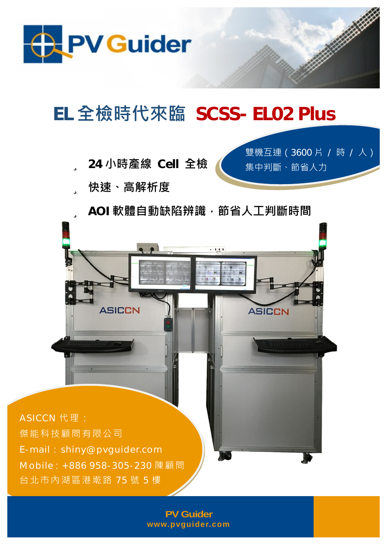

## **EL 全檢時代來臨 SCSS- EL02 Plus**

ü **24 小時產線 Cell 全檢**

ü **快速、高解析度**

**ASICCN** 



**ASICCN** 

ü **AOI 軟體自動缺陷辨識,節省人工判斷時間**

ASICCN 代理: 傑能科技顧問有限公司 E-mail:[shiny@pvguider.com](mailto:shiny@pvguider.com) Mobile:+886 958-305-230 陳顧問 台北市內湖區港墘路 75 號 5 樓

> **PV Guider [www.pvguider.com](http://www.pvguider.com)**